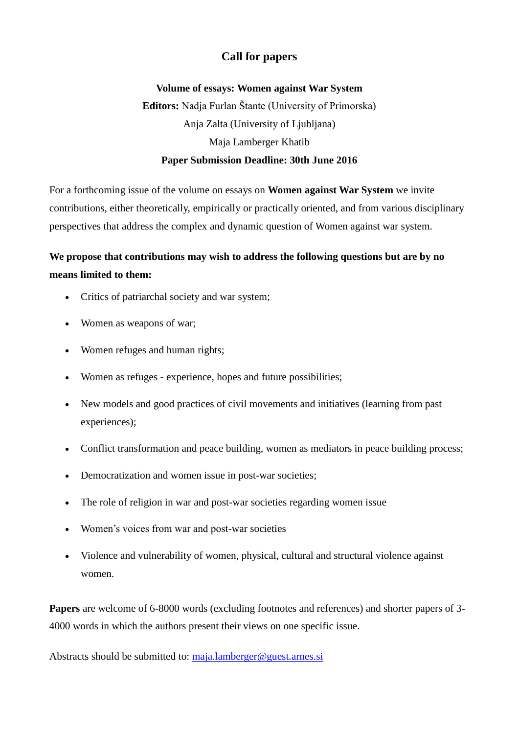## **Call for papers**

## **Volume of essays: Women against War System Editors:** Nadja Furlan Štante (University of Primorska) Anja Zalta (University of Ljubljana) Maja Lamberger Khatib **Paper Submission Deadline: 30th June 2016**

For a forthcoming issue of the volume on essays on **Women against War System** we invite contributions, either theoretically, empirically or practically oriented, and from various disciplinary perspectives that address the complex and dynamic question of Women against war system.

## **We propose that contributions may wish to address the following questions but are by no means limited to them:**

- Critics of patriarchal society and war system;
- Women as weapons of war;
- Women refuges and human rights;
- Women as refuges experience, hopes and future possibilities;
- New models and good practices of civil movements and initiatives (learning from past experiences);
- Conflict transformation and peace building, women as mediators in peace building process;
- Democratization and women issue in post-war societies;
- The role of religion in war and post-war societies regarding women issue
- Women's voices from war and post-war societies
- Violence and vulnerability of women, physical, cultural and structural violence against women.

**Papers** are welcome of 6-8000 words (excluding footnotes and references) and shorter papers of 3- 4000 words in which the authors present their views on one specific issue.

Abstracts should be submitted to: [maja.lamberger@guest.arnes.si](mailto:maja.lamberger@guest.arnes.si)